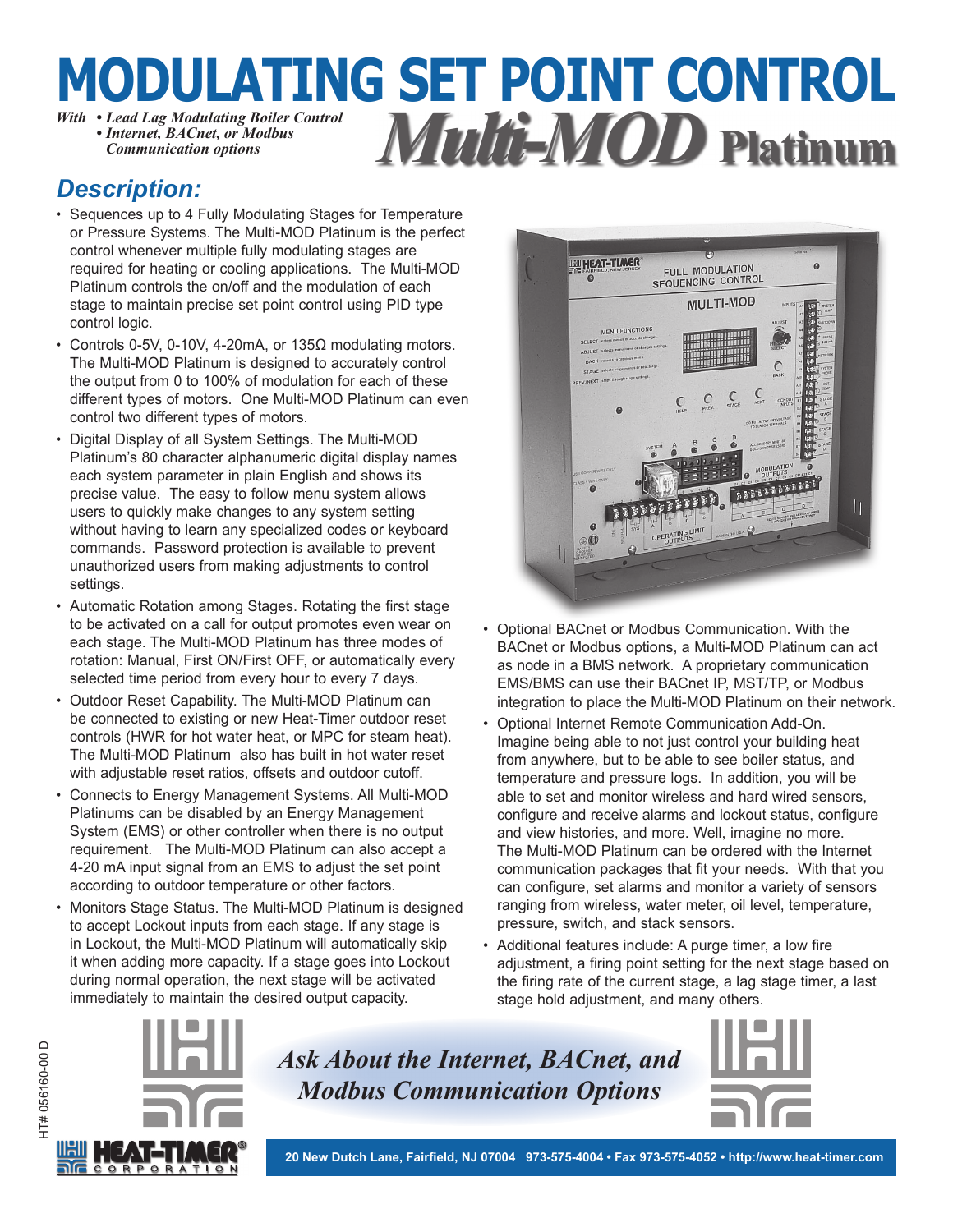### **MODULATING SET POINT CONTROL** *With • Lead Lag Modulating Boiler Control • Internet, BACnet, or Modbus Communication options Multi-MOD* **Platinum**

### *Description:*

- Sequences up to 4 Fully Modulating Stages for Temperature or Pressure Systems. The Multi-MOD Platinum is the perfect control whenever multiple fully modulating stages are required for heating or cooling applications. The Multi-MOD Platinum controls the on/off and the modulation of each stage to maintain precise set point control using PID type control logic.
- Controls 0-5V, 0-10V, 4-20mA, or 135Ω modulating motors. The Multi-MOD Platinum is designed to accurately control the output from 0 to 100% of modulation for each of these different types of motors. One Multi-MOD Platinum can even control two different types of motors.
- Digital Display of all System Settings. The Multi-MOD Platinum's 80 character alphanumeric digital display names each system parameter in plain English and shows its precise value. The easy to follow menu system allows users to quickly make changes to any system setting without having to learn any specialized codes or keyboard commands. Password protection is available to prevent unauthorized users from making adjustments to control settings.
- Automatic Rotation among Stages. Rotating the first stage to be activated on a call for output promotes even wear on each stage. The Multi-MOD Platinum has three modes of rotation: Manual, First ON/First OFF, or automatically every selected time period from every hour to every 7 days.
- Outdoor Reset Capability. The Multi-MOD Platinum can be connected to existing or new Heat-Timer outdoor reset controls (HWR for hot water heat, or MPC for steam heat). The Multi-MOD Platinum also has built in hot water reset with adjustable reset ratios, offsets and outdoor cutoff.
- Connects to Energy Management Systems. All Multi-MOD Platinums can be disabled by an Energy Management System (EMS) or other controller when there is no output requirement. The Multi-MOD Platinum can also accept a 4-20 mA input signal from an EMS to adjust the set point according to outdoor temperature or other factors.
- Monitors Stage Status. The Multi-MOD Platinum is designed to accept Lockout inputs from each stage. If any stage is in Lockout, the Multi-MOD Platinum will automatically skip it when adding more capacity. If a stage goes into Lockout during normal operation, the next stage will be activated immediately to maintain the desired output capacity.



- Optional BACnet or Modbus Communication. With the BACnet or Modbus options, a Multi-MOD Platinum can act as node in a BMS network. A proprietary communication EMS/BMS can use their BACnet IP, MST/TP, or Modbus integration to place the Multi-MOD Platinum on their network.
- Optional Internet Remote Communication Add-On. Imagine being able to not just control your building heat from anywhere, but to be able to see boiler status, and temperature and pressure logs. In addition, you will be able to set and monitor wireless and hard wired sensors, configure and receive alarms and lockout status, configure and view histories, and more. Well, imagine no more. The Multi-MOD Platinum can be ordered with the Internet communication packages that fit your needs. With that you can configure, set alarms and monitor a variety of sensors ranging from wireless, water meter, oil level, temperature, pressure, switch, and stack sensors.
- Additional features include: A purge timer, a low fire adjustment, a firing point setting for the next stage based on the firing rate of the current stage, a lag stage timer, a last stage hold adjustment, and many others.



*Ask About the Internet, BACnet, and Modbus Communication Options*

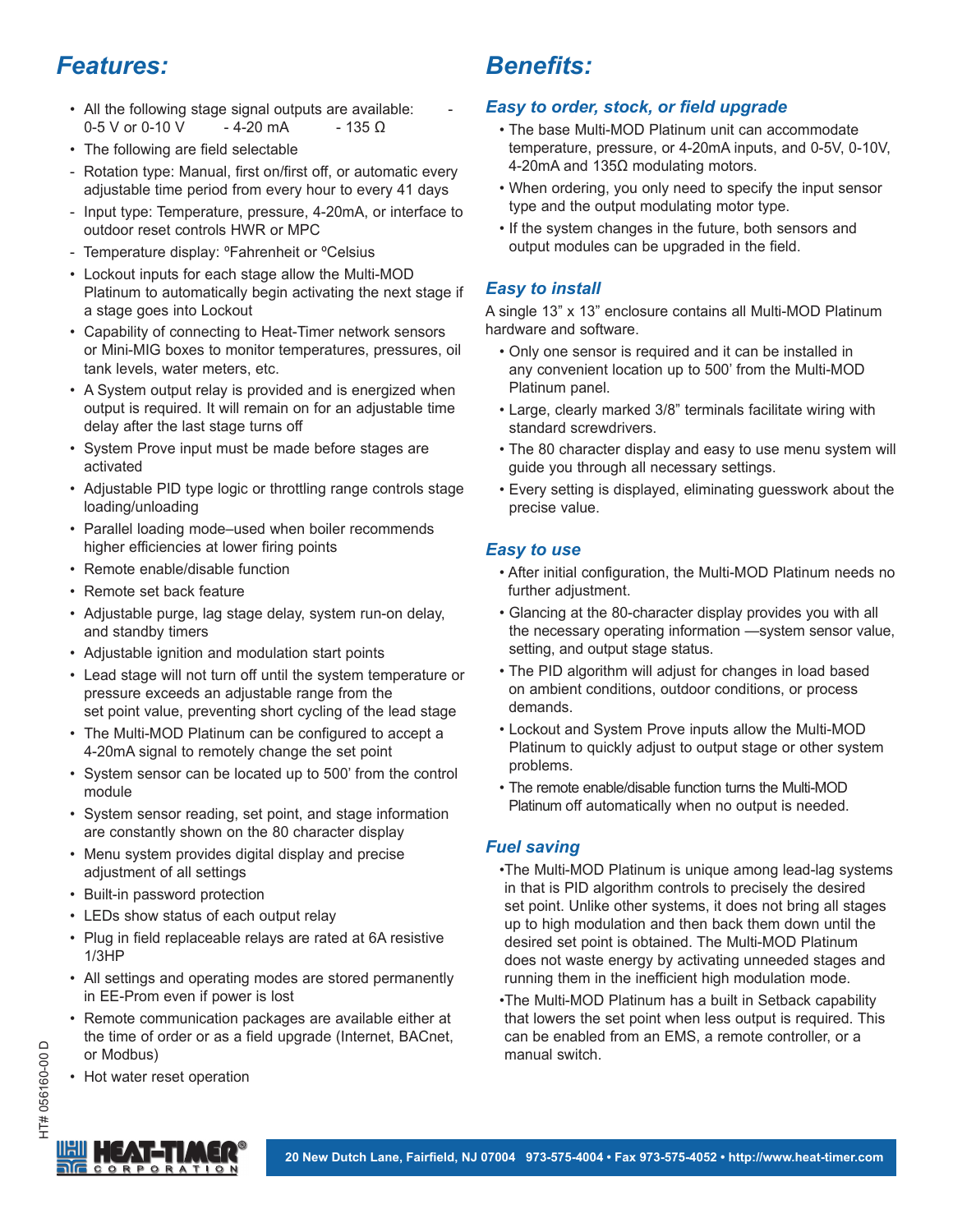## *Features:*

- All the following stage signal outputs are available:  $0-5$  V or 0-10 V - 4-20 mA - 135 Ω
- The following are field selectable
- Rotation type: Manual, first on/first off, or automatic every adjustable time period from every hour to every 41 days
- Input type: Temperature, pressure, 4-20mA, or interface to outdoor reset controls HWR or MPC
- Temperature display: ºFahrenheit or ºCelsius
- Lockout inputs for each stage allow the Multi-MOD Platinum to automatically begin activating the next stage if a stage goes into Lockout
- Capability of connecting to Heat-Timer network sensors or Mini-MIG boxes to monitor temperatures, pressures, oil tank levels, water meters, etc.
- A System output relay is provided and is energized when output is required. It will remain on for an adjustable time delay after the last stage turns off
- System Prove input must be made before stages are activated
- Adjustable PID type logic or throttling range controls stage loading/unloading
- Parallel loading mode–used when boiler recommends higher efficiencies at lower firing points
- Remote enable/disable function
- Remote set back feature
- Adjustable purge, lag stage delay, system run-on delay, and standby timers
- Adjustable ignition and modulation start points
- Lead stage will not turn off until the system temperature or pressure exceeds an adjustable range from the set point value, preventing short cycling of the lead stage
- The Multi-MOD Platinum can be configured to accept a 4-20mA signal to remotely change the set point
- System sensor can be located up to 500' from the control module
- System sensor reading, set point, and stage information are constantly shown on the 80 character display
- Menu system provides digital display and precise adjustment of all settings
- Built-in password protection
- LEDs show status of each output relay
- Plug in field replaceable relays are rated at 6A resistive 1/3HP
- All settings and operating modes are stored permanently in EE-Prom even if power is lost
- Remote communication packages are available either at the time of order or as a field upgrade (Internet, BACnet, or Modbus)
- Hot water reset operation

# **Benefits:**

### **Easy to order, stock, or field upgrade**

- The base Multi-MOD Platinum unit can accommodate temperature, pressure, or 4-20mA inputs, and 0-5V, 0-10V, 4-20mA and 135Ω modulating motors.
- When ordering, you only need to specify the input sensor type and the output modulating motor type.
- If the system changes in the future, both sensors and output modules can be upgraded in the field.

#### *Easy to install*

A single 13" x 13" enclosure contains all Multi-MOD Platinum hardware and software.

- Only one sensor is required and it can be installed in any convenient location up to 500' from the Multi-MOD Platinum panel.
- Large, clearly marked 3/8" terminals facilitate wiring with standard screwdrivers.
- The 80 character display and easy to use menu system will guide you through all necessary settings.
- Every setting is displayed, eliminating guesswork about the precise value.

### *Easy to use*

- After initial configuration, the Multi-MOD Platinum needs no further adjustment.
- Glancing at the 80-character display provides you with all the necessary operating information —system sensor value, setting, and output stage status.
- The PID algorithm will adjust for changes in load based on ambient conditions, outdoor conditions, or process demands.
- Lockout and System Prove inputs allow the Multi-MOD Platinum to quickly adjust to output stage or other system problems.
- The remote enable/disable function turns the Multi-MOD Platinum off automatically when no output is needed.

#### *Fuel saving*

- The Multi-MOD Platinum is unique among lead-lag systems in that is PID algorithm controls to precisely the desired set point. Unlike other systems, it does not bring all stages up to high modulation and then back them down until the desired set point is obtained. The Multi-MOD Platinum does not waste energy by activating unneeded stages and running them in the inefficient high modulation mode.
- The Multi-MOD Platinum has a built in Setback capability that lowers the set point when less output is required. This can be enabled from an EMS, a remote controller, or a manual switch.

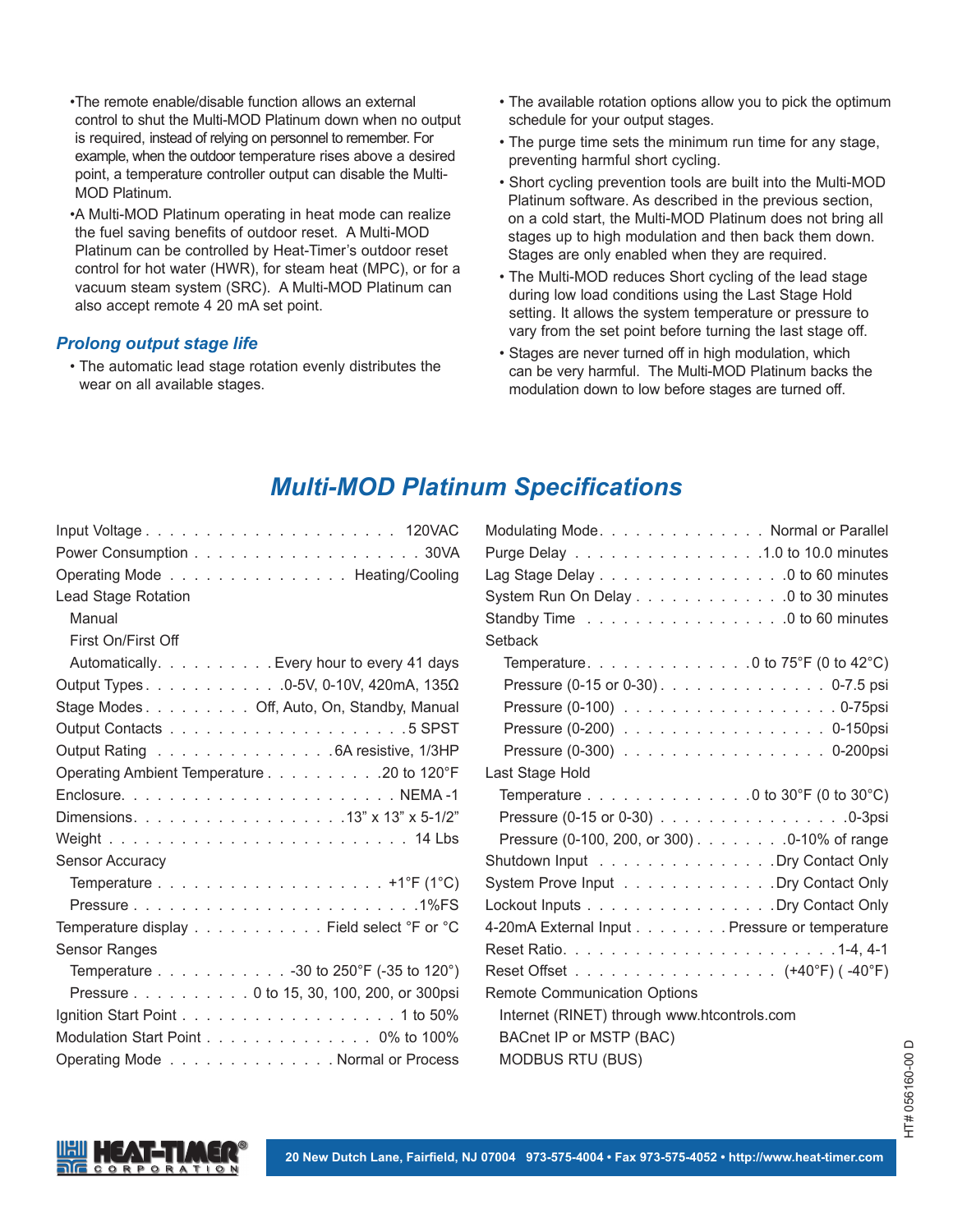- The remote enable/disable function allows an external control to shut the Multi-MOD Platinum down when no output is required, instead of relying on personnel to remember. For example, when the outdoor temperature rises above a desired point, a temperature controller output can disable the Multi-MOD Platinum.
- A Multi-MOD Platinum operating in heat mode can realize the fuel saving benefits of outdoor reset. A Multi-MOD Platinum can be controlled by Heat-Timer's outdoor reset control for hot water (HWR), for steam heat (MPC), or for a vacuum steam system (SRC). A Multi-MOD Platinum can also accept remote 4 20 mA set point.

#### *Prolong output stage life*

 • The automatic lead stage rotation evenly distributes the wear on all available stages.

- The available rotation options allow you to pick the optimum schedule for your output stages.
- The purge time sets the minimum run time for any stage, preventing harmful short cycling.
- Short cycling prevention tools are built into the Multi-MOD Platinum software. As described in the previous section, on a cold start, the Multi-MOD Platinum does not bring all stages up to high modulation and then back them down. Stages are only enabled when they are required.
- The Multi-MOD reduces Short cycling of the lead stage during low load conditions using the Last Stage Hold setting. It allows the system temperature or pressure to vary from the set point before turning the last stage off.
- Stages are never turned off in high modulation, which can be very harmful. The Multi-MOD Platinum backs the modulation down to low before stages are turned off.

### **Multi-MOD Platinum Specifications**

| Operating Mode Heating/Cooling             |
|--------------------------------------------|
| Lead Stage Rotation                        |
| Manual                                     |
| First On/First Off                         |
| Automatically. Every hour to every 41 days |
| Output Types. 0-5V, 0-10V, 420mA, 135Ω     |
| Stage Modes Off, Auto, On, Standby, Manual |
|                                            |
| Output Rating 6A resistive, 1/3HP          |
| Operating Ambient Temperature 20 to 120°F  |
|                                            |
|                                            |
|                                            |
| Sensor Accuracy                            |
|                                            |
|                                            |
| Temperature display Field select °F or °C  |
| Sensor Ranges                              |
| Temperature 30 to 250°F (-35 to 120°)      |
| Pressure 0 to 15, 30, 100, 200, or 300psi  |
|                                            |
| Modulation Start Point 0% to 100%          |
| Operating Mode Normal or Process           |

| Modulating Mode. Normal or Parallel                                |
|--------------------------------------------------------------------|
| Purge Delay 1.0 to 10.0 minutes                                    |
| Lag Stage Delay $\ldots \ldots \ldots \ldots \ldots \ldots \ldots$ |
| System Run On Delay 0 to 30 minutes                                |
| Standby Time 0 to 60 minutes                                       |
| Setback                                                            |
| Temperature. 0 to 75°F (0 to 42°C)                                 |
| Pressure (0-15 or 0-30). 0-7.5 psi                                 |
|                                                                    |
|                                                                    |
| Pressure (0-300) 0-200psi                                          |
| Last Stage Hold                                                    |
| Temperature 0 to 30°F (0 to 30°C)                                  |
| Pressure (0-15 or 0-30) 0-3psi                                     |
| Pressure (0-100, 200, or 300) 0-10% of range                       |
| Shutdown Input Dry Contact Only                                    |
| System Prove Input Dry Contact Only                                |
| Lockout Inputs Dry Contact Only                                    |
| 4-20mA External Input Pressure or temperature                      |
|                                                                    |
| Reset Offset (+40°F) (-40°F)                                       |
| <b>Remote Communication Options</b>                                |
| Internet (RINET) through www.htcontrols.com                        |
| BACnet IP or MSTP (BAC)                                            |
| <b>MODBUS RTU (BUS)</b>                                            |